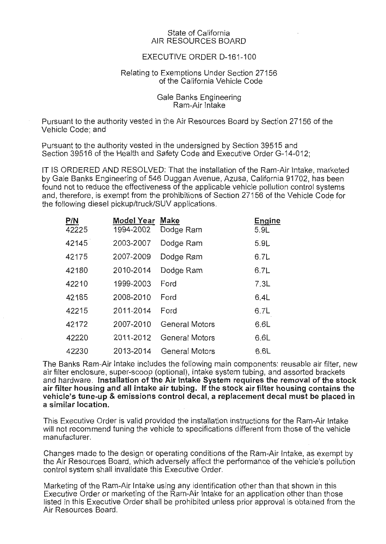## State of California AIR RESOURCES BOARD

## EXECUTIVE ORDER D-161-100

## Relating to Exemptions Under Section 27156 of the California Vehicle Code

Gale Banks Engineering Ram-Air Intake

Pursuant to the authority vested in the Air Resources Board by Section 27156 of the Vehicle Code; and

Pursuant to the authority vested in the undersigned by Section 39515 and Section 39516 of the Health and Safety Code and Executive Order G-14-012;

IT IS ORDERED AND RESOLVED: That the installation of the Ram-Air Intake, marketed by Gale Banks Engineering of 546 Duggan Avenue, Azusa, California 91702, has been found not to reduce the effectiveness of the applicable vehicle pollution control systems and, therefore, is exempt from the prohibitions of Section 27156 of the Vehicle Code for the following diesel pickup/truck/SUV applications.

| <b>P/N</b><br>42225 | Model Year<br>1994-2002 | <b>Make</b><br>Dodge Ram | Engine<br>5.9L |
|---------------------|-------------------------|--------------------------|----------------|
| 42145               | 2003-2007               | Dodge Ram                | 5.9L           |
| 42175               | 2007-2009               | Dodge Ram                | 6.7L           |
| 42180               | 2010-2014               | Dodge Ram                | 6.7L           |
| 42210               | 1999-2003               | Ford                     | 7.3L           |
| 42185               | 2008-2010               | Ford                     | 6.4L           |
| 42215               | 2011-2014               | Ford                     | 6.7L           |
| 42172               | 2007-2010               | <b>General Motors</b>    | 6.6L           |
| 42220               | 2011-2012               | <b>General Motors</b>    | 6.6L           |
| 42230               | 2013-2014               | General Motors           | 6.6L           |

The Banks Ram-Air Intake includes the following main components: reusable air filter, new air filter enclosure, super-scoop (optional), intake system tubing, and assorted brackets and hardware. Installation of the Air Intake System requires the removal of the stock air filter housing and all intake air tubing. If the stock air filter housing contains the vehicle's tune-up & emissions control decal, a replacement decal must be placed in a similar location.

This Executive Order is valid provided the installation instructions for the Ram-Air Intake will not recommend tuning the vehicle to specifications different from those of the vehicle manufacturer.

Changes made to the design or operating conditions of the Ram-Air Intake, as exempt by the Air Resources Board, which adversely affect the performance of the vehicle's pollution control system shall invalidate this Executive Order.

Marketing of the Ram-Air Intake using any identification other than that shown in this Executive Order or marketing of the Ram-Air Intake for an application other than those listed in this Executive Order shall be prohibited unless prior approval is obtained from the Air Resources Board.